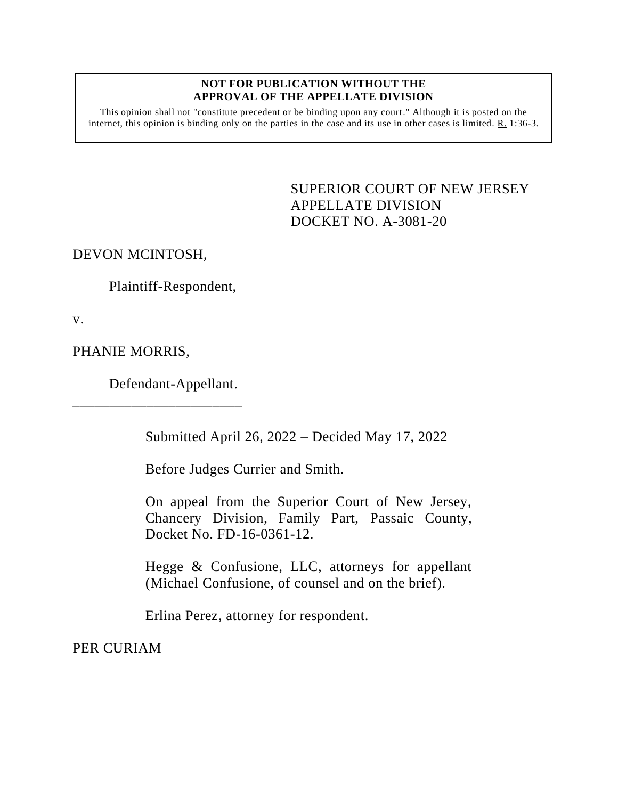## **NOT FOR PUBLICATION WITHOUT THE APPROVAL OF THE APPELLATE DIVISION**

This opinion shall not "constitute precedent or be binding upon any court." Although it is posted on the internet, this opinion is binding only on the parties in the case and its use in other cases is limited. R. 1:36-3.

> <span id="page-0-0"></span>SUPERIOR COURT OF NEW JERSEY APPELLATE DIVISION DOCKET NO. A-3081-20

DEVON MCINTOSH,

Plaintiff-Respondent,

v.

PHANIE MORRIS,

Defendant-Appellant.

\_\_\_\_\_\_\_\_\_\_\_\_\_\_\_\_\_\_\_\_\_\_\_

Submitted April 26, 2022 – Decided May 17, 2022

Before Judges Currier and Smith.

On appeal from the Superior Court of New Jersey, Chancery Division, Family Part, Passaic County, Docket No. FD-16-0361-12.

Hegge & Confusione, LLC, attorneys for appellant (Michael Confusione, of counsel and on the brief).

Erlina Perez, attorney for respondent.

PER CURIAM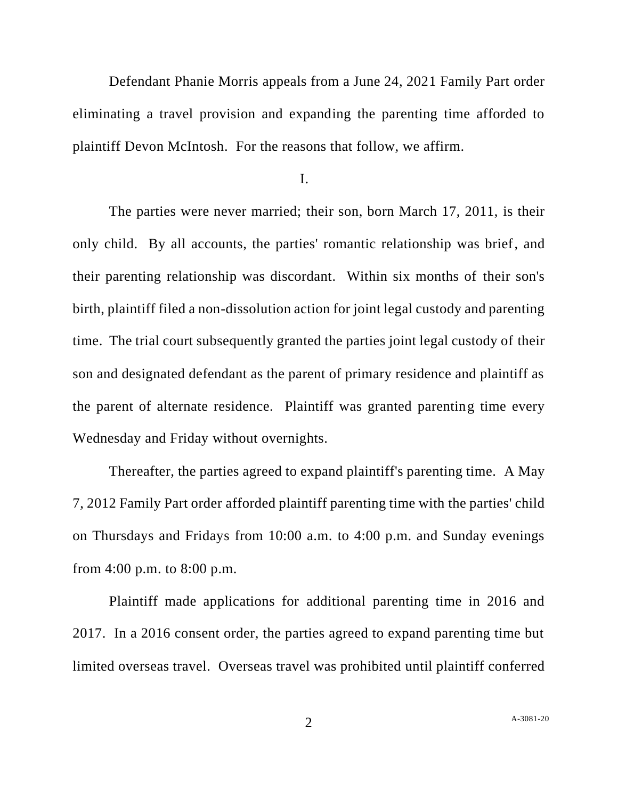Defendant Phanie Morris appeals from a June 24, 2021 Family Part order eliminating a travel provision and expanding the parenting time afforded to plaintiff Devon McIntosh. For the reasons that follow, we affirm.

I.

The parties were never married; their son, born March 17, 2011, is their only child. By all accounts, the parties' romantic relationship was brief, and their parenting relationship was discordant. Within six months of their son's birth, plaintiff filed a non-dissolution action for joint legal custody and parenting time. The trial court subsequently granted the parties joint legal custody of their son and designated defendant as the parent of primary residence and plaintiff as the parent of alternate residence. Plaintiff was granted parenting time every Wednesday and Friday without overnights.

Thereafter, the parties agreed to expand plaintiff's parenting time. A May 7, 2012 Family Part order afforded plaintiff parenting time with the parties' child on Thursdays and Fridays from 10:00 a.m. to 4:00 p.m. and Sunday evenings from 4:00 p.m. to 8:00 p.m.

Plaintiff made applications for additional parenting time in 2016 and 2017. In a 2016 consent order, the parties agreed to expand parenting time but limited overseas travel. Overseas travel was prohibited until plaintiff conferred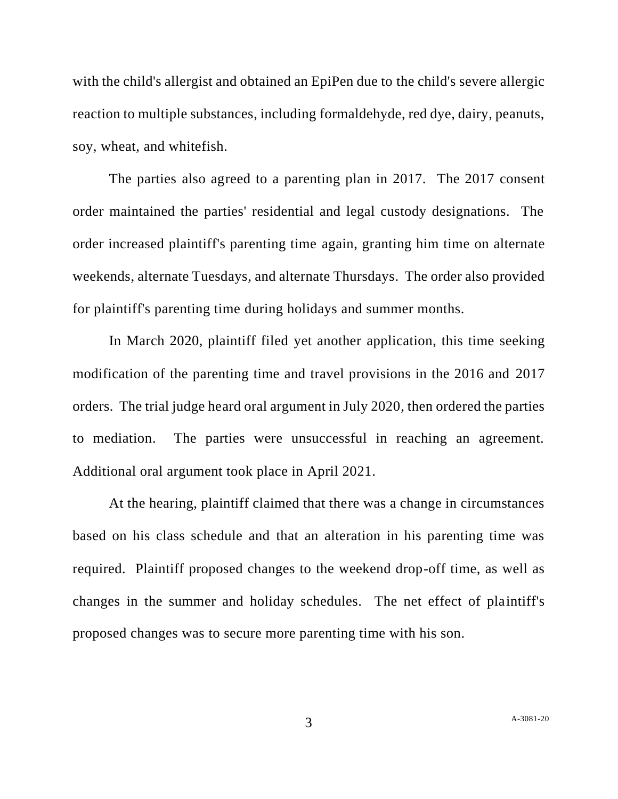with the child's allergist and obtained an EpiPen due to the child's severe allergic reaction to multiple substances, including formaldehyde, red dye, dairy, peanuts, soy, wheat, and whitefish.

The parties also agreed to a parenting plan in 2017. The 2017 consent order maintained the parties' residential and legal custody designations. The order increased plaintiff's parenting time again, granting him time on alternate weekends, alternate Tuesdays, and alternate Thursdays. The order also provided for plaintiff's parenting time during holidays and summer months.

In March 2020, plaintiff filed yet another application, this time seeking modification of the parenting time and travel provisions in the 2016 and 2017 orders. The trial judge heard oral argument in July 2020, then ordered the parties to mediation. The parties were unsuccessful in reaching an agreement. Additional oral argument took place in April 2021.

At the hearing, plaintiff claimed that there was a change in circumstances based on his class schedule and that an alteration in his parenting time was required. Plaintiff proposed changes to the weekend drop-off time, as well as changes in the summer and holiday schedules. The net effect of plaintiff's proposed changes was to secure more parenting time with his son.

3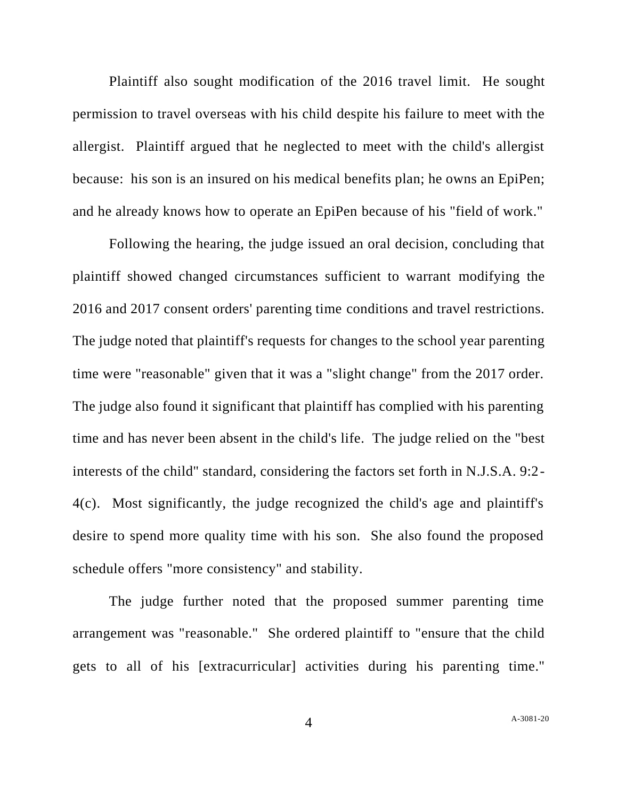Plaintiff also sought modification of the 2016 travel limit. He sought permission to travel overseas with his child despite his failure to meet with the allergist. Plaintiff argued that he neglected to meet with the child's allergist because: his son is an insured on his medical benefits plan; he owns an EpiPen; and he already knows how to operate an EpiPen because of his "field of work."

Following the hearing, the judge issued an oral decision, concluding that plaintiff showed changed circumstances sufficient to warrant modifying the 2016 and 2017 consent orders' parenting time conditions and travel restrictions. The judge noted that plaintiff's requests for changes to the school year parenting time were "reasonable" given that it was a "slight change" from the 2017 order. The judge also found it significant that plaintiff has complied with his parenting time and has never been absent in the child's life. The judge relied on the "best interests of the child" standard, considering the factors set forth in N.J.S.A. 9:2- 4(c). Most significantly, the judge recognized the child's age and plaintiff's desire to spend more quality time with his son. She also found the proposed schedule offers "more consistency" and stability.

The judge further noted that the proposed summer parenting time arrangement was "reasonable." She ordered plaintiff to "ensure that the child gets to all of his [extracurricular] activities during his parenting time."

4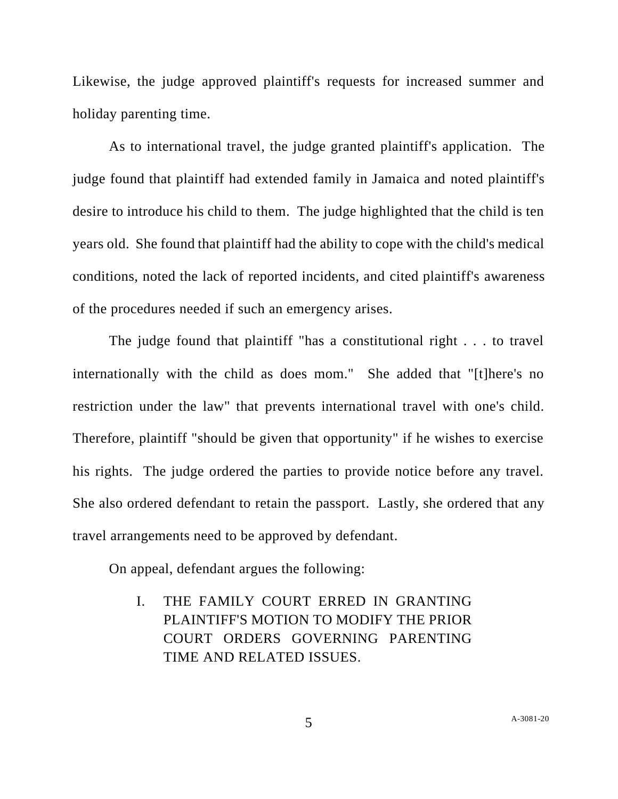Likewise, the judge approved plaintiff's requests for increased summer and holiday parenting time.

As to international travel, the judge granted plaintiff's application. The judge found that plaintiff had extended family in Jamaica and noted plaintiff's desire to introduce his child to them. The judge highlighted that the child is ten years old. She found that plaintiff had the ability to cope with the child's medical conditions, noted the lack of reported incidents, and cited plaintiff's awareness of the procedures needed if such an emergency arises.

The judge found that plaintiff "has a constitutional right . . . to travel internationally with the child as does mom." She added that "[t]here's no restriction under the law" that prevents international travel with one's child. Therefore, plaintiff "should be given that opportunity" if he wishes to exercise his rights. The judge ordered the parties to provide notice before any travel. She also ordered defendant to retain the passport. Lastly, she ordered that any travel arrangements need to be approved by defendant.

On appeal, defendant argues the following:

I. THE FAMILY COURT ERRED IN GRANTING PLAINTIFF'S MOTION TO MODIFY THE PRIOR COURT ORDERS GOVERNING PARENTING TIME AND RELATED ISSUES.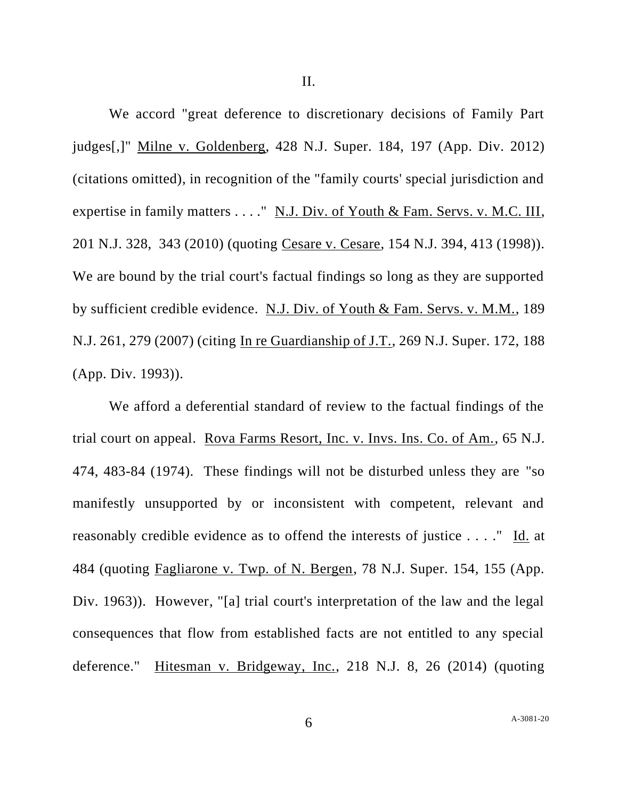II.

We accord "great deference to discretionary decisions of Family Part judges[,]" Milne v. Goldenberg, 428 N.J. Super. 184, 197 (App. Div. 2012) (citations omitted), in recognition of the "family courts' special jurisdiction and expertise in family matters . . . ." N.J. Div. of Youth & Fam. Servs. v. M.C. III, 201 N.J. 328, 343 (2010) (quoting Cesare v. Cesare, 154 N.J. 394, 413 (1998)). We are bound by the trial court's factual findings so long as they are supported by sufficient credible evidence. N.J. Div. of Youth & Fam. Servs. v. M.M., 189 N.J. 261, 279 (2007) (citing In re Guardianship of J.T., 269 N.J. Super. 172, 188 (App. Div. 1993)).

We afford a deferential standard of review to the factual findings of the trial court on appeal. Rova Farms Resort, Inc. v. Invs. Ins. Co. of Am., 65 N.J. 474, 483-84 (1974). These findings will not be disturbed unless they are "so manifestly unsupported by or inconsistent with competent, relevant and reasonably credible evidence as to offend the interests of justice . . . ." Id. at 484 (quoting Fagliarone v. Twp. of N. Bergen, 78 N.J. Super. 154, 155 (App. Div. 1963)). However, "[a] trial court's interpretation of the law and the legal consequences that flow from established facts are not entitled to any special deference." Hitesman v. Bridgeway, Inc., 218 N.J. 8, 26 (2014) (quoting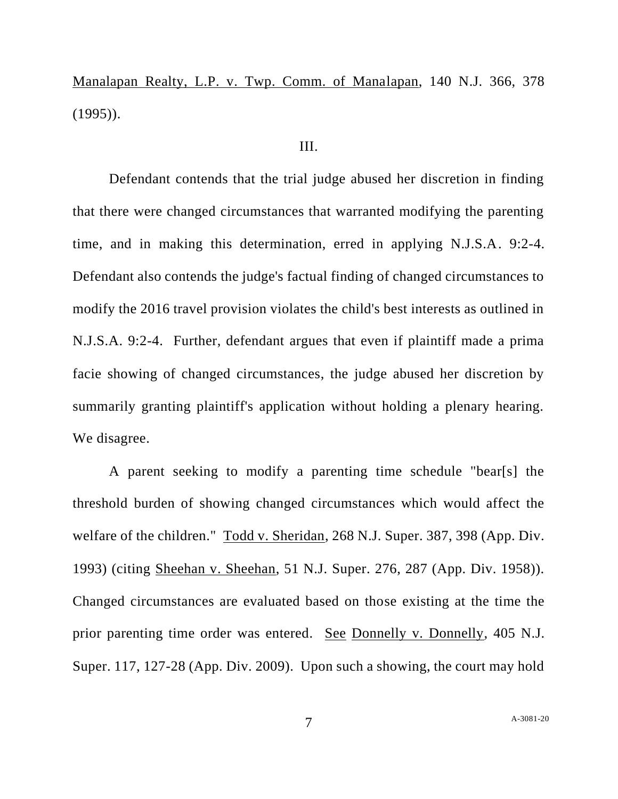Manalapan Realty, L.P. v. Twp. Comm. of Manalapan, 140 N.J. 366, 378  $(1995)$ .

## III.

Defendant contends that the trial judge abused her discretion in finding that there were changed circumstances that warranted modifying the parenting time, and in making this determination, erred in applying N.J.S.A. 9:2-4. Defendant also contends the judge's factual finding of changed circumstances to modify the 2016 travel provision violates the child's best interests as outlined in N.J.S.A. 9:2-4. Further, defendant argues that even if plaintiff made a prima facie showing of changed circumstances, the judge abused her discretion by summarily granting plaintiff's application without holding a plenary hearing. We disagree.

A parent seeking to modify a parenting time schedule "bear[s] the threshold burden of showing changed circumstances which would affect the welfare of the children." Todd v. Sheridan, 268 N.J. Super. 387, 398 (App. Div. 1993) (citing Sheehan v. Sheehan, 51 N.J. Super. 276, 287 (App. Div. 1958)). Changed circumstances are evaluated based on those existing at the time the prior parenting time order was entered. See Donnelly v. Donnelly, 405 N.J. Super. 117, 127-28 (App. Div. 2009). Upon such a showing, the court may hold

7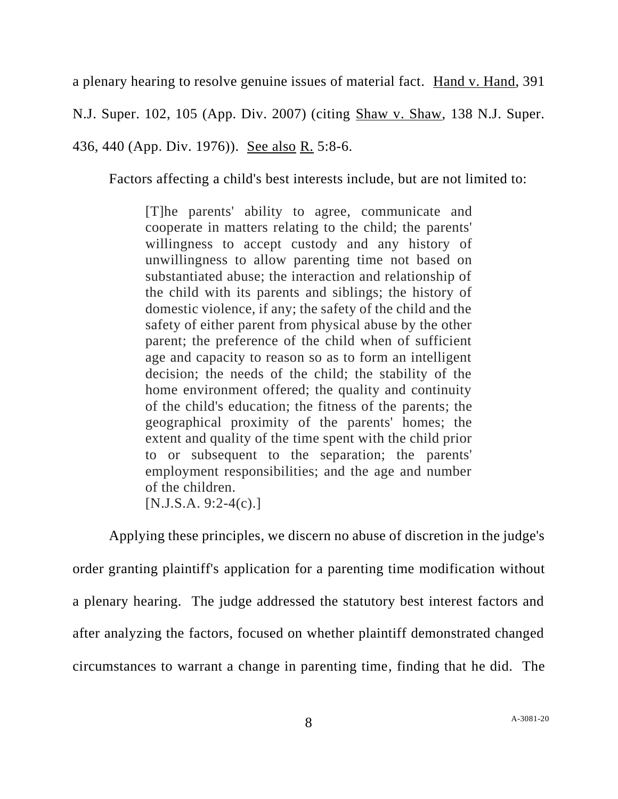a plenary hearing to resolve genuine issues of material fact. Hand v. Hand, 391

N.J. Super. 102, 105 (App. Div. 2007) (citing Shaw v. Shaw, 138 N.J. Super.

436, 440 (App. Div. 1976)). See also R. 5:8-6.

Factors affecting a child's best interests include, but are not limited to:

[T]he parents' ability to agree, communicate and cooperate in matters relating to the child; the parents' willingness to accept custody and any history of unwillingness to allow parenting time not based on substantiated abuse; the interaction and relationship of the child with its parents and siblings; the history of domestic violence, if any; the safety of the child and the safety of either parent from physical abuse by the other parent; the preference of the child when of sufficient age and capacity to reason so as to form an intelligent decision; the needs of the child; the stability of the home environment offered; the quality and continuity of the child's education; the fitness of the parents; the geographical proximity of the parents' homes; the extent and quality of the time spent with the child prior to or subsequent to the separation; the parents' employment responsibilities; and the age and number of the children.  $[N.J.S.A. 9:2-4(c).]$ 

Applying these principles, we discern no abuse of discretion in the judge's order granting plaintiff's application for a parenting time modification without a plenary hearing. The judge addressed the statutory best interest factors and after analyzing the factors, focused on whether plaintiff demonstrated changed circumstances to warrant a change in parenting time, finding that he did. The